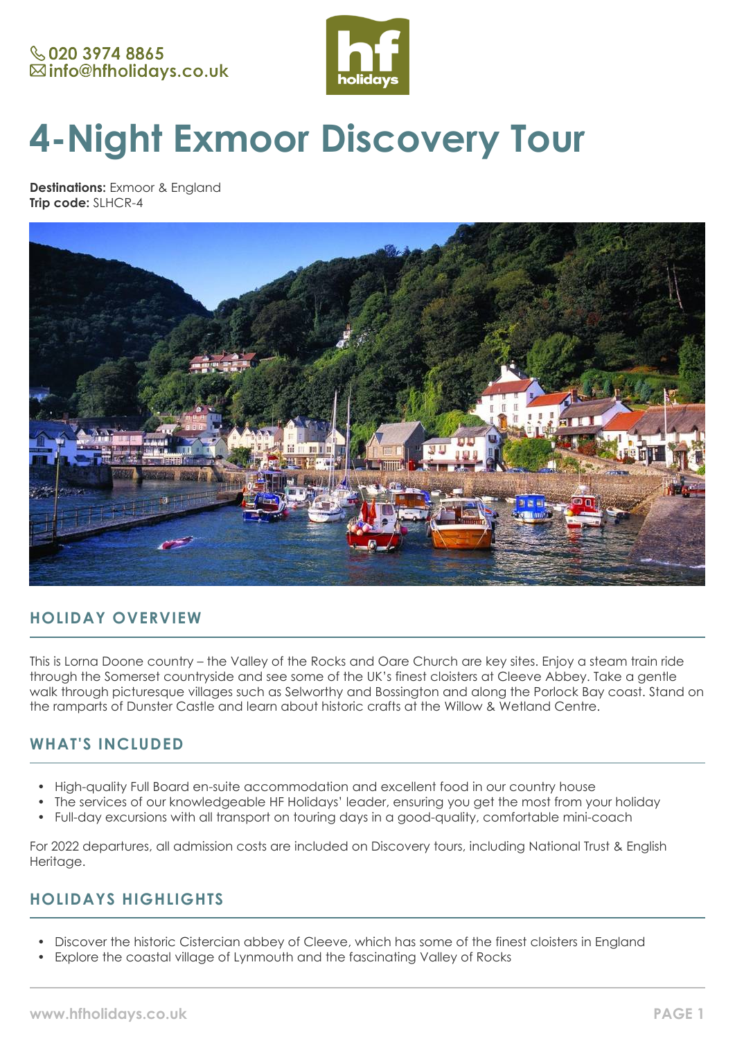

# **4-Night Exmoor Discovery Tour**

**Destinations:** Exmoor & England **Trip code:** SLHCR-4



# **HOLIDAY OVERVIEW**

This is Lorna Doone country – the Valley of the Rocks and Oare Church are key sites. Enjoy a steam train ride through the Somerset countryside and see some of the UK's finest cloisters at Cleeve Abbey. Take a gentle walk through picturesque villages such as Selworthy and Bossington and along the Porlock Bay coast. Stand on the ramparts of Dunster Castle and learn about historic crafts at the Willow & Wetland Centre.

# **WHAT'S INCLUDED**

- High-quality Full Board en-suite accommodation and excellent food in our country house
- The services of our knowledgeable HF Holidays' leader, ensuring you get the most from your holiday
- Full-day excursions with all transport on touring days in a good-quality, comfortable mini-coach

For 2022 departures, all admission costs are included on Discovery tours, including National Trust & English Heritage.

# **HOLIDAYS HIGHLIGHTS**

- Discover the historic Cistercian abbey of Cleeve, which has some of the finest cloisters in England
- Explore the coastal village of Lynmouth and the fascinating Valley of Rocks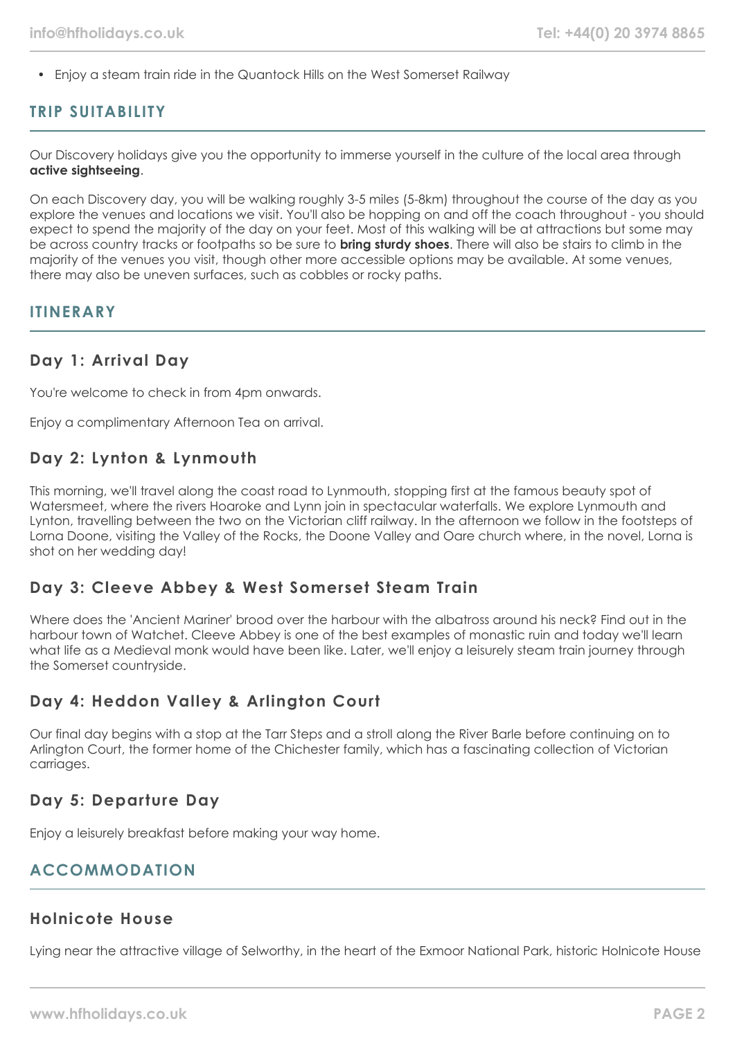• Enjoy a steam train ride in the Quantock Hills on the West Somerset Railway

### **TRIP SUITABILITY**

Our Discovery holidays give you the opportunity to immerse yourself in the culture of the local area through **active sightseeing**.

On each Discovery day, you will be walking roughly 3-5 miles (5-8km) throughout the course of the day as you explore the venues and locations we visit. You'll also be hopping on and off the coach throughout - you should expect to spend the majority of the day on your feet. Most of this walking will be at attractions but some may be across country tracks or footpaths so be sure to **bring sturdy shoes**. There will also be stairs to climb in the majority of the venues you visit, though other more accessible options may be available. At some venues, there may also be uneven surfaces, such as cobbles or rocky paths.

### **ITINERARY**

## **Day 1: Arrival Day**

You're welcome to check in from 4pm onwards.

Enjoy a complimentary Afternoon Tea on arrival.

# **Day 2: Lynton & Lynmouth**

This morning, we'll travel along the coast road to Lynmouth, stopping first at the famous beauty spot of Watersmeet, where the rivers Hoaroke and Lynn join in spectacular waterfalls. We explore Lynmouth and Lynton, travelling between the two on the Victorian cliff railway. In the afternoon we follow in the footsteps of Lorna Doone, visiting the Valley of the Rocks, the Doone Valley and Oare church where, in the novel, Lorna is shot on her wedding day!

### **Day 3: Cleeve Abbey & West Somerset Steam Train**

Where does the 'Ancient Mariner' brood over the harbour with the albatross around his neck? Find out in the harbour town of Watchet. Cleeve Abbey is one of the best examples of monastic ruin and today we'll learn what life as a Medieval monk would have been like. Later, we'll enjoy a leisurely steam train journey through the Somerset countryside.

# **Day 4: Heddon Valley & Arlington Court**

Our final day begins with a stop at the Tarr Steps and a stroll along the River Barle before continuing on to Arlington Court, the former home of the Chichester family, which has a fascinating collection of Victorian carriages.

### **Day 5: Departure Day**

Enjoy a leisurely breakfast before making your way home.

# **ACCOMMODATION**

### **Holnicote House**

Lying near the attractive village of Selworthy, in the heart of the Exmoor National Park, historic Holnicote House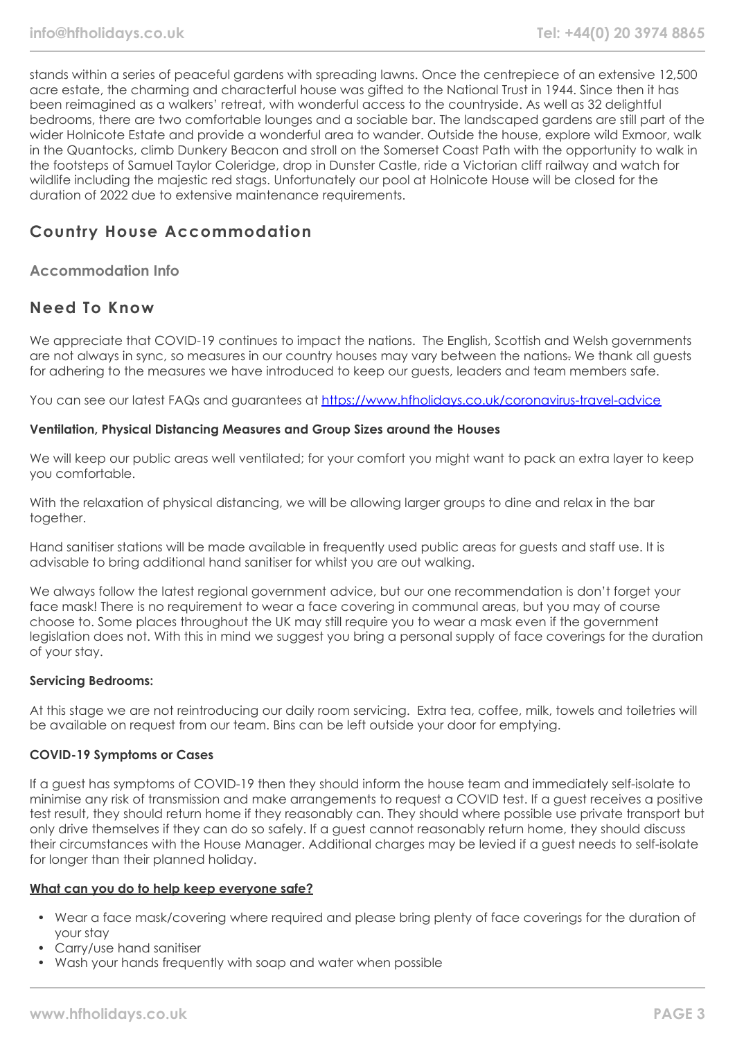stands within a series of peaceful gardens with spreading lawns. Once the centrepiece of an extensive 12,500 acre estate, the charming and characterful house was gifted to the National Trust in 1944. Since then it has been reimagined as a walkers' retreat, with wonderful access to the countryside. As well as 32 delightful bedrooms, there are two comfortable lounges and a sociable bar. The landscaped gardens are still part of the wider Holnicote Estate and provide a wonderful area to wander. Outside the house, explore wild Exmoor, walk in the Quantocks, climb Dunkery Beacon and stroll on the Somerset Coast Path with the opportunity to walk in the footsteps of Samuel Taylor Coleridge, drop in Dunster Castle, ride a Victorian cliff railway and watch for wildlife including the majestic red stags. Unfortunately our pool at Holnicote House will be closed for the duration of 2022 due to extensive maintenance requirements.

# **Country House Accommodation**

### **Accommodation Info**

# **Need To Know**

We appreciate that COVID-19 continues to impact the nations. The English, Scottish and Welsh governments are not always in sync, so measures in our country houses may vary between the nations. We thank all guests for adhering to the measures we have introduced to keep our guests, leaders and team members safe.

You can see our latest FAQs and guarantees at <https://www.hfholidays.co.uk/coronavirus-travel-advice>

### **Ventilation, Physical Distancing Measures and Group Sizes around the Houses**

We will keep our public areas well ventilated; for your comfort you might want to pack an extra layer to keep you comfortable.

With the relaxation of physical distancing, we will be allowing larger groups to dine and relax in the bar together.

Hand sanitiser stations will be made available in frequently used public areas for guests and staff use. It is advisable to bring additional hand sanitiser for whilst you are out walking.

We always follow the latest regional government advice, but our one recommendation is don't forget your face mask! There is no requirement to wear a face covering in communal areas, but you may of course choose to. Some places throughout the UK may still require you to wear a mask even if the government legislation does not. With this in mind we suggest you bring a personal supply of face coverings for the duration of your stay.

### **Servicing Bedrooms:**

At this stage we are not reintroducing our daily room servicing. Extra tea, coffee, milk, towels and toiletries will be available on request from our team. Bins can be left outside your door for emptying.

### **COVID-19 Symptoms or Cases**

If a guest has symptoms of COVID-19 then they should inform the house team and immediately self-isolate to minimise any risk of transmission and make arrangements to request a COVID test. If a guest receives a positive test result, they should return home if they reasonably can. They should where possible use private transport but only drive themselves if they can do so safely. If a guest cannot reasonably return home, they should discuss their circumstances with the House Manager. Additional charges may be levied if a guest needs to self-isolate for longer than their planned holiday.

#### **What can you do to help keep everyone safe?**

- Wear a face mask/covering where required and please bring plenty of face coverings for the duration of your stay
- Carry/use hand sanitiser
- Wash your hands frequently with soap and water when possible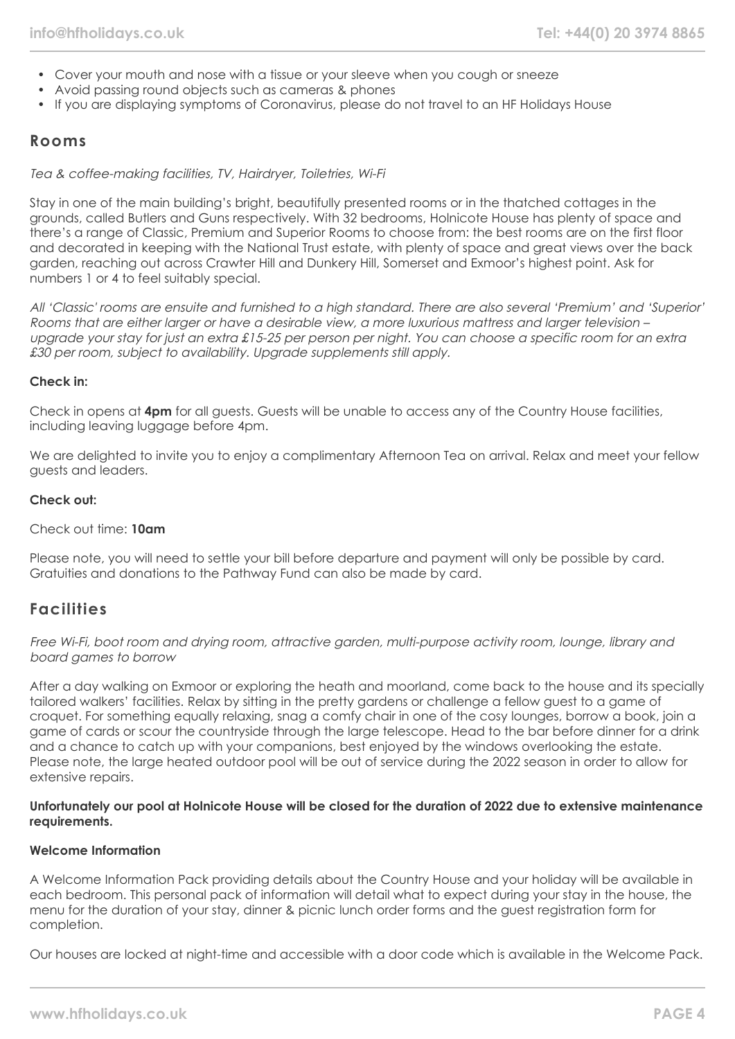- Cover your mouth and nose with a tissue or your sleeve when you cough or sneeze
- Avoid passing round objects such as cameras & phones
- If you are displaying symptoms of Coronavirus, please do not travel to an HF Holidays House

### **Rooms**

Tea & coffee-making facilities, TV, Hairdryer, Toiletries, Wi-Fi

Stay in one of the main building's bright, beautifully presented rooms or in the thatched cottages in the grounds, called Butlers and Guns respectively. With 32 bedrooms, Holnicote House has plenty of space and there's a range of Classic, Premium and Superior Rooms to choose from: the best rooms are on the first floor and decorated in keeping with the National Trust estate, with plenty of space and great views over the back garden, reaching out across Crawter Hill and Dunkery Hill, Somerset and Exmoor's highest point. Ask for numbers 1 or 4 to feel suitably special.

All 'Classic' rooms are ensuite and furnished to a high standard. There are also several 'Premium' and 'Superior' Rooms that are either larger or have a desirable view, a more luxurious mattress and larger television – upgrade your stay for just an extra £15-25 per person per night. You can choose a specific room for an extra £30 per room, subject to availability. Upgrade supplements still apply.

### **Check in:**

Check in opens at **4pm** for all guests. Guests will be unable to access any of the Country House facilities, including leaving luggage before 4pm.

We are delighted to invite you to enjoy a complimentary Afternoon Tea on arrival. Relax and meet your fellow guests and leaders.

#### **Check out:**

#### Check out time: **10am**

Please note, you will need to settle your bill before departure and payment will only be possible by card. Gratuities and donations to the Pathway Fund can also be made by card.

### **Facilities**

Free Wi-Fi, boot room and drying room, attractive garden, multi-purpose activity room, lounge, library and board games to borrow

After a day walking on Exmoor or exploring the heath and moorland, come back to the house and its specially tailored walkers' facilities. Relax by sitting in the pretty gardens or challenge a fellow guest to a game of croquet. For something equally relaxing, snag a comfy chair in one of the cosy lounges, borrow a book, join a game of cards or scour the countryside through the large telescope. Head to the bar before dinner for a drink and a chance to catch up with your companions, best enjoyed by the windows overlooking the estate. Please note, the large heated outdoor pool will be out of service during the 2022 season in order to allow for extensive repairs.

#### **Unfortunately our pool at Holnicote House will be closed for the duration of 2022 due to extensive maintenance requirements.**

#### **Welcome Information**

A Welcome Information Pack providing details about the Country House and your holiday will be available in each bedroom. This personal pack of information will detail what to expect during your stay in the house, the menu for the duration of your stay, dinner & picnic lunch order forms and the guest registration form for completion.

Our houses are locked at night-time and accessible with a door code which is available in the Welcome Pack.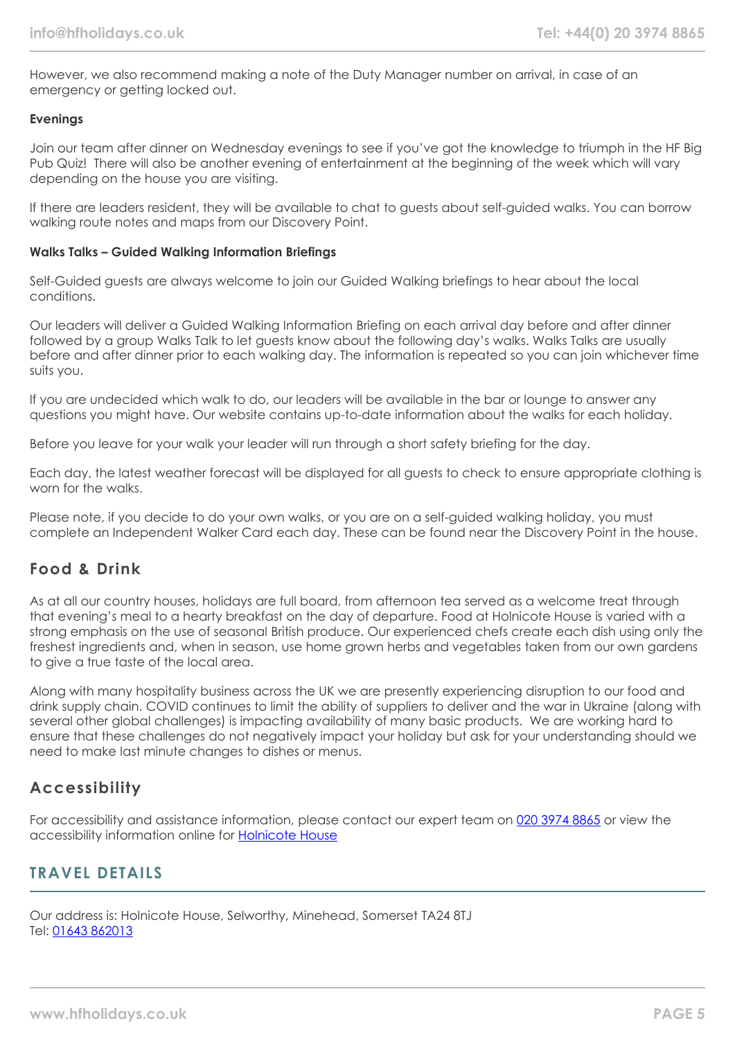However, we also recommend making a note of the Duty Manager number on arrival, in case of an emergency or getting locked out.

### **Evenings**

Join our team after dinner on Wednesday evenings to see if you've got the knowledge to triumph in the HF Big Pub Quiz! There will also be another evening of entertainment at the beginning of the week which will vary depending on the house you are visiting.

If there are leaders resident, they will be available to chat to guests about self-guided walks. You can borrow walking route notes and maps from our Discovery Point.

### **Walks Talks – Guided Walking Information Briefings**

Self-Guided guests are always welcome to join our Guided Walking briefings to hear about the local conditions.

Our leaders will deliver a Guided Walking Information Briefing on each arrival day before and after dinner followed by a group Walks Talk to let guests know about the following day's walks. Walks Talks are usually before and after dinner prior to each walking day. The information is repeated so you can join whichever time suits you.

If you are undecided which walk to do, our leaders will be available in the bar or lounge to answer any questions you might have. Our website contains up-to-date information about the walks for each holiday.

Before you leave for your walk your leader will run through a short safety briefing for the day.

Each day, the latest weather forecast will be displayed for all guests to check to ensure appropriate clothing is worn for the walks.

Please note, if you decide to do your own walks, or you are on a self-guided walking holiday, you must complete an Independent Walker Card each day. These can be found near the Discovery Point in the house.

# **Food & Drink**

As at all our country houses, holidays are full board, from afternoon tea served as a welcome treat through that evening's meal to a hearty breakfast on the day of departure. Food at Holnicote House is varied with a strong emphasis on the use of seasonal British produce. Our experienced chefs create each dish using only the freshest ingredients and, when in season, use home grown herbs and vegetables taken from our own gardens to give a true taste of the local area.

Along with many hospitality business across the UK we are presently experiencing disruption to our food and drink supply chain. COVID continues to limit the ability of suppliers to deliver and the war in Ukraine (along with several other global challenges) is impacting availability of many basic products. We are working hard to ensure that these challenges do not negatively impact your holiday but ask for your understanding should we need to make last minute changes to dishes or menus.

# **Accessibility**

For accessibility and assistance information, please contact our expert team on [020 3974 8865](tel:02039748865) or view the accessibility information online for [Holnicote House](https://www.hfholidays.co.uk/images/Documents/accessibility_statements/holnicote-house---accessibility-information---update-mar-2021.pdf)

# **TRAVEL DETAILS**

Our address is: Holnicote House, Selworthy, Minehead, Somerset TA24 8TJ Tel: [01643 862013](tel:01643862013)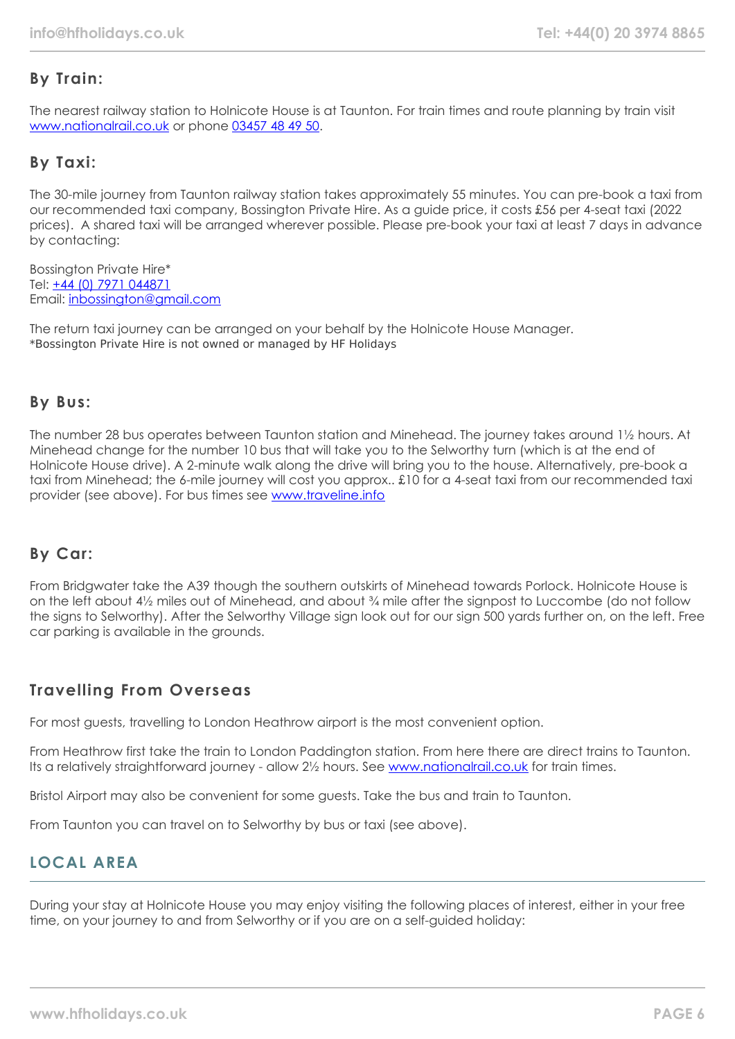# **By Train:**

The nearest railway station to Holnicote House is at Taunton. For train times and route planning by train visit [www.nationalrail.co.uk](https://www.nationalrail.co.uk/) or phone [03457 48 49 50.](tel:03457484950)

# **By Taxi:**

The 30-mile journey from Taunton railway station takes approximately 55 minutes. You can pre-book a taxi from our recommended taxi company, Bossington Private Hire. As a guide price, it costs £56 per 4-seat taxi (2022 prices). A shared taxi will be arranged wherever possible. Please pre-book your taxi at least 7 days in advance by contacting:

Bossington Private Hire\* Tel: [+44 \(0\) 7971 044871](tel:07971044871) Email: [inbossington@gmail.com](mailto:mail:inbossington@gmail.com)

The return taxi journey can be arranged on your behalf by the Holnicote House Manager. \*Bossington Private Hire is not owned or managed by HF Holidays

## **By Bus:**

The number 28 bus operates between Taunton station and Minehead. The journey takes around 1½ hours. At Minehead change for the number 10 bus that will take you to the Selworthy turn (which is at the end of Holnicote House drive). A 2-minute walk along the drive will bring you to the house. Alternatively, pre-book a taxi from Minehead; the 6-mile journey will cost you approx.. £10 for a 4-seat taxi from our recommended taxi provider (see above). For bus times see [www.traveline.info](https://www.traveline.info/)

# **By Car:**

From Bridgwater take the A39 though the southern outskirts of Minehead towards Porlock. Holnicote House is on the left about 4½ miles out of Minehead, and about ¾ mile after the signpost to Luccombe (do not follow the signs to Selworthy). After the Selworthy Village sign look out for our sign 500 yards further on, on the left. Free car parking is available in the grounds.

# **Travelling From Overseas**

For most guests, travelling to London Heathrow airport is the most convenient option.

From Heathrow first take the train to London Paddington station. From here there are direct trains to Taunton. Its a relatively straightforward journey - allow 2½ hours. See [www.nationalrail.co.uk](https://www.nationalrail.co.uk/) for train times.

Bristol Airport may also be convenient for some guests. Take the bus and train to Taunton.

From Taunton you can travel on to Selworthy by bus or taxi (see above).

# **LOCAL AREA**

During your stay at Holnicote House you may enjoy visiting the following places of interest, either in your free time, on your journey to and from Selworthy or if you are on a self-guided holiday: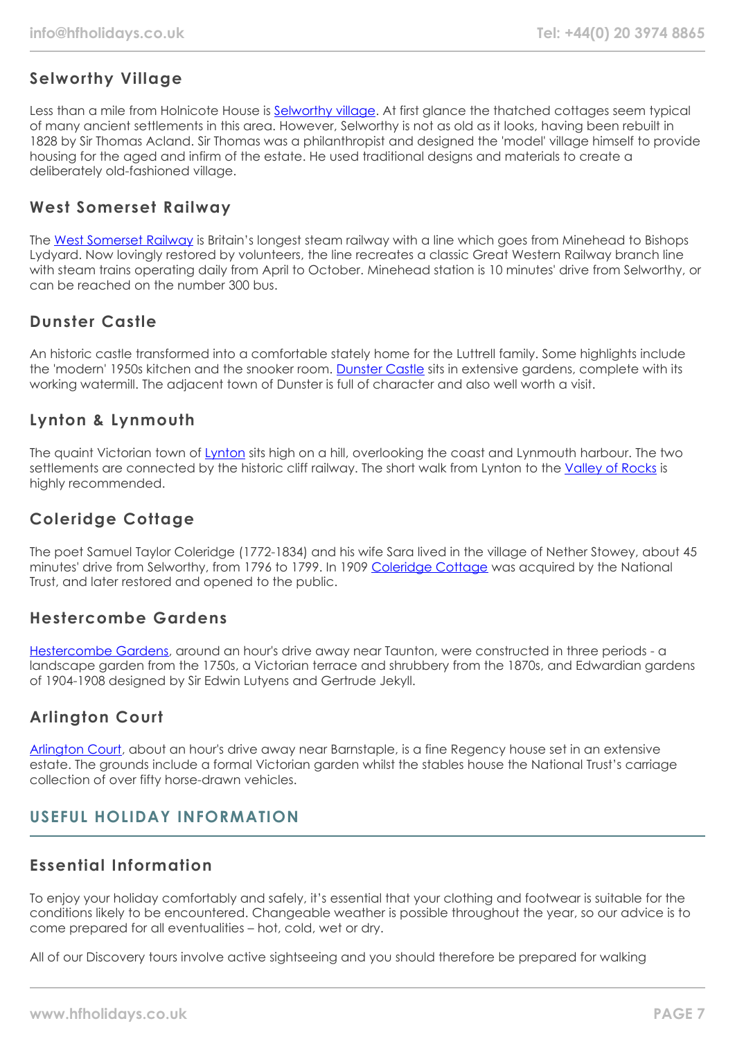# **Selworthy Village**

Less than a mile from Holnicote House is [Selworthy village](https://www.visit-exmoor.co.uk/point-of-interest/selworthy). At first glance the thatched cottages seem typical of many ancient settlements in this area. However, Selworthy is not as old as it looks, having been rebuilt in 1828 by Sir Thomas Acland. Sir Thomas was a philanthropist and designed the 'model' village himself to provide housing for the aged and infirm of the estate. He used traditional designs and materials to create a deliberately old-fashioned village.

## **West Somerset Railway**

The [West Somerset Railway](https://www.west-somerset-railway.co.uk/) is Britain's longest steam railway with a line which goes from Minehead to Bishops Lydyard. Now lovingly restored by volunteers, the line recreates a classic Great Western Railway branch line with steam trains operating daily from April to October. Minehead station is 10 minutes' drive from Selworthy, or can be reached on the number 300 bus.

# **Dunster Castle**

An historic castle transformed into a comfortable stately home for the Luttrell family. Some highlights include the 'modern' 1950s kitchen and the snooker room. [Dunster Castle](https://www.nationaltrust.org.uk/dunster-castle-and-watermill) sits in extensive gardens, complete with its working watermill. The adjacent town of Dunster is full of character and also well worth a visit.

# **Lynton & Lynmouth**

The quaint Victorian town of [Lynton](https://visitlyntonandlynmouth.com/) sits high on a hill, overlooking the coast and Lynmouth harbour. The two settlements are connected by the historic cliff railway. The short walk from Lynton to the [Valley of Rocks](https://www.visit-exmoor.co.uk/point-of-interest/valley-of-rocks) is highly recommended.

# **Coleridge Cottage**

The poet Samuel Taylor Coleridge (1772-1834) and his wife Sara lived in the village of Nether Stowey, about 45 minutes' drive from Selworthy, from 1796 to 1799. In 1909 [Coleridge Cottage](https://www.nationaltrust.org.uk/coleridge-cottage) was acquired by the National Trust, and later restored and opened to the public.

# **Hestercombe Gardens**

[Hestercombe Gardens,](https://www.hestercombe.com/) around an hour's drive away near Taunton, were constructed in three periods - a landscape garden from the 1750s, a Victorian terrace and shrubbery from the 1870s, and Edwardian gardens of 1904-1908 designed by Sir Edwin Lutyens and Gertrude Jekyll.

# **Arlington Court**

[Arlington Court,](https://www.nationaltrust.org.uk/arlington-court-and-the-national-trust-carriage-museum) about an hour's drive away near Barnstaple, is a fine Regency house set in an extensive estate. The grounds include a formal Victorian garden whilst the stables house the National Trust's carriage collection of over fifty horse-drawn vehicles.

# **USEFUL HOLIDAY INFORMATION**

# **Essential Information**

To enjoy your holiday comfortably and safely, it's essential that your clothing and footwear is suitable for the conditions likely to be encountered. Changeable weather is possible throughout the year, so our advice is to come prepared for all eventualities – hot, cold, wet or dry.

All of our Discovery tours involve active sightseeing and you should therefore be prepared for walking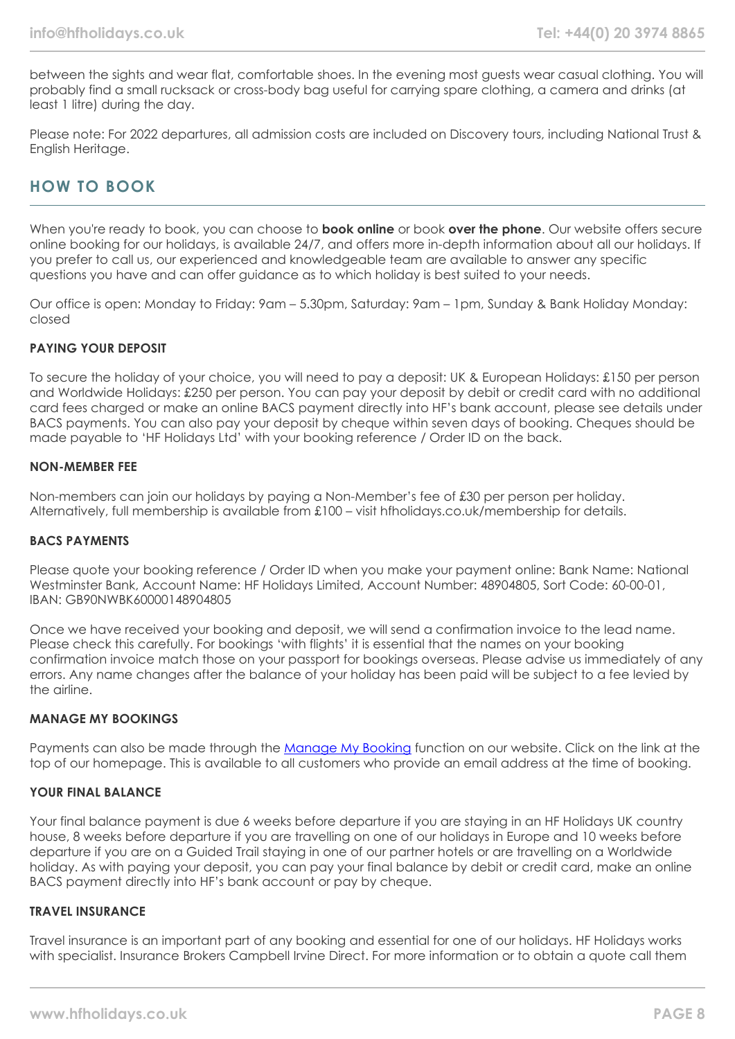between the sights and wear flat, comfortable shoes. In the evening most guests wear casual clothing. You will probably find a small rucksack or cross-body bag useful for carrying spare clothing, a camera and drinks (at least 1 litre) during the day.

Please note: For 2022 departures, all admission costs are included on Discovery tours, including National Trust & English Heritage.

# **HOW TO BOOK**

When you're ready to book, you can choose to **book online** or book **over the phone**. Our website offers secure online booking for our holidays, is available 24/7, and offers more in-depth information about all our holidays. If you prefer to call us, our experienced and knowledgeable team are available to answer any specific questions you have and can offer guidance as to which holiday is best suited to your needs.

Our office is open: Monday to Friday: 9am – 5.30pm, Saturday: 9am – 1pm, Sunday & Bank Holiday Monday: closed

### **PAYING YOUR DEPOSIT**

To secure the holiday of your choice, you will need to pay a deposit: UK & European Holidays: £150 per person and Worldwide Holidays: £250 per person. You can pay your deposit by debit or credit card with no additional card fees charged or make an online BACS payment directly into HF's bank account, please see details under BACS payments. You can also pay your deposit by cheque within seven days of booking. Cheques should be made payable to 'HF Holidays Ltd' with your booking reference / Order ID on the back.

#### **NON-MEMBER FEE**

Non-members can join our holidays by paying a Non-Member's fee of £30 per person per holiday. Alternatively, full membership is available from £100 – visit hfholidays.co.uk/membership for details.

#### **BACS PAYMENTS**

Please quote your booking reference / Order ID when you make your payment online: Bank Name: National Westminster Bank, Account Name: HF Holidays Limited, Account Number: 48904805, Sort Code: 60-00-01, IBAN: GB90NWBK60000148904805

Once we have received your booking and deposit, we will send a confirmation invoice to the lead name. Please check this carefully. For bookings 'with flights' it is essential that the names on your booking confirmation invoice match those on your passport for bookings overseas. Please advise us immediately of any errors. Any name changes after the balance of your holiday has been paid will be subject to a fee levied by the airline.

### **MANAGE MY BOOKINGS**

Payments can also be made through the [Manage My Booking](https://www.hfholidays.co.uk/about-us/bookings/my-booking) function on our website. Click on the link at the top of our homepage. This is available to all customers who provide an email address at the time of booking.

### **YOUR FINAL BALANCE**

Your final balance payment is due 6 weeks before departure if you are staying in an HF Holidays UK country house, 8 weeks before departure if you are travelling on one of our holidays in Europe and 10 weeks before departure if you are on a Guided Trail staying in one of our partner hotels or are travelling on a Worldwide holiday. As with paying your deposit, you can pay your final balance by debit or credit card, make an online BACS payment directly into HF's bank account or pay by cheque.

#### **TRAVEL INSURANCE**

Travel insurance is an important part of any booking and essential for one of our holidays. HF Holidays works with specialist. Insurance Brokers Campbell Irvine Direct. For more information or to obtain a quote call them